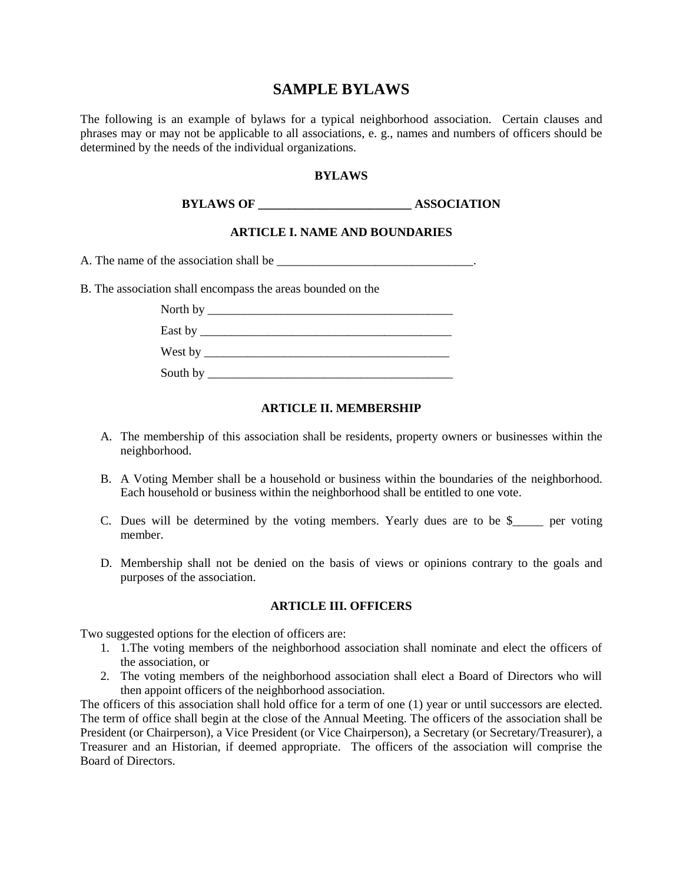# **SAMPLE BYLAWS**

The following is an example of bylaws for a typical neighborhood association. Certain clauses and phrases may or may not be applicable to all associations, e. g., names and numbers of officers should be determined by the needs of the individual organizations.

#### **BYLAWS**

**BYLAWS OF ASSOCIATION** 

#### **ARTICLE I. NAME AND BOUNDARIES**

A. The name of the association shall be \_\_\_\_\_\_\_\_\_\_\_\_\_\_\_\_\_\_\_\_\_\_\_\_\_\_\_\_\_\_\_\_\_.

B. The association shall encompass the areas bounded on the

| East by $\_\_$                   |  |
|----------------------------------|--|
| West by $\overline{\phantom{a}}$ |  |
| South by                         |  |

#### **ARTICLE II. MEMBERSHIP**

- A. The membership of this association shall be residents, property owners or businesses within the neighborhood.
- B. A Voting Member shall be a household or business within the boundaries of the neighborhood. Each household or business within the neighborhood shall be entitled to one vote.
- C. Dues will be determined by the voting members. Yearly dues are to be \$\_\_\_\_\_ per voting member.
- D. Membership shall not be denied on the basis of views or opinions contrary to the goals and purposes of the association.

#### **ARTICLE III. OFFICERS**

Two suggested options for the election of officers are:

- 1. 1.The voting members of the neighborhood association shall nominate and elect the officers of the association, or
- 2. The voting members of the neighborhood association shall elect a Board of Directors who will then appoint officers of the neighborhood association.

The officers of this association shall hold office for a term of one (1) year or until successors are elected. The term of office shall begin at the close of the Annual Meeting. The officers of the association shall be President (or Chairperson), a Vice President (or Vice Chairperson), a Secretary (or Secretary/Treasurer), a Treasurer and an Historian, if deemed appropriate. The officers of the association will comprise the Board of Directors.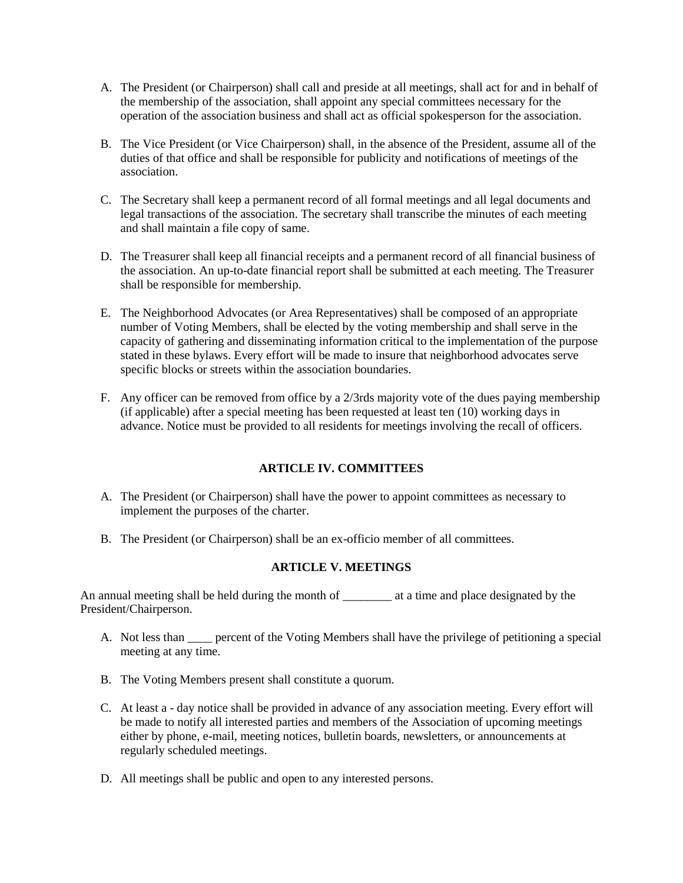- A. The President (or Chairperson) shall call and preside at all meetings, shall act for and in behalf of the membership of the association, shall appoint any special committees necessary for the operation of the association business and shall act as official spokesperson for the association.
- B. The Vice President (or Vice Chairperson) shall, in the absence of the President, assume all of the duties of that office and shall be responsible for publicity and notifications of meetings of the association.
- C. The Secretary shall keep a permanent record of all formal meetings and all legal documents and legal transactions of the association. The secretary shall transcribe the minutes of each meeting and shall maintain a file copy of same.
- D. The Treasurer shall keep all financial receipts and a permanent record of all financial business of the association. An up-to-date financial report shall be submitted at each meeting. The Treasurer shall be responsible for membership.
- E. The Neighborhood Advocates (or Area Representatives) shall be composed of an appropriate number of Voting Members, shall be elected by the voting membership and shall serve in the capacity of gathering and disseminating information critical to the implementation of the purpose stated in these bylaws. Every effort will be made to insure that neighborhood advocates serve specific blocks or streets within the association boundaries.
- F. Any officer can be removed from office by a 2/3rds majority vote of the dues paying membership (if applicable) after a special meeting has been requested at least ten (10) working days in advance. Notice must be provided to all residents for meetings involving the recall of officers.

# **ARTICLE IV. COMMITTEES**

- A. The President (or Chairperson) shall have the power to appoint committees as necessary to implement the purposes of the charter.
- B. The President (or Chairperson) shall be an ex-officio member of all committees.

## **ARTICLE V. MEETINGS**

An annual meeting shall be held during the month of \_\_\_\_\_\_\_\_\_ at a time and place designated by the President/Chairperson.

- A. Not less than <u>ear</u> percent of the Voting Members shall have the privilege of petitioning a special meeting at any time.
- B. The Voting Members present shall constitute a quorum.
- C. At least a day notice shall be provided in advance of any association meeting. Every effort will be made to notify all interested parties and members of the Association of upcoming meetings either by phone, e-mail, meeting notices, bulletin boards, newsletters, or announcements at regularly scheduled meetings.
- D. All meetings shall be public and open to any interested persons.